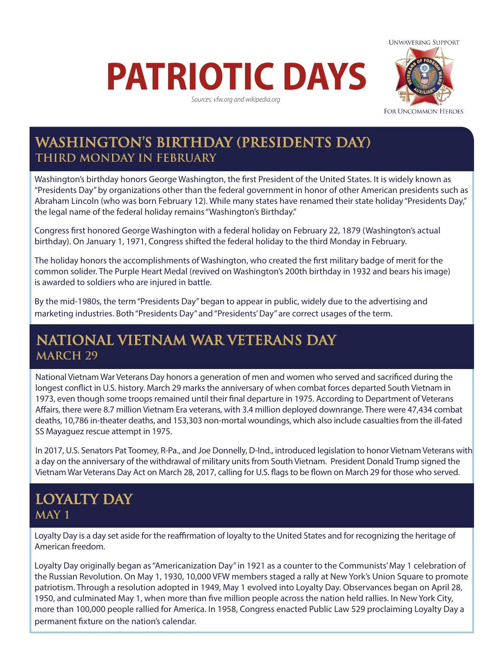# **PATRIOTIC DAYS**

*Sources: vfw.org and wikipedia.org*



### **WASHINGTON'S BIRTHDAY (PRESIDENTS DAY) THIRD MONDAY IN FEBRUARY**

Washington's birthday honors George Washington, the first President of the United States. It is widely known as "Presidents Day" by organizations other than the federal government in honor of other American presidents such as Abraham Lincoln (who was born February 12). While many states have renamed their state holiday "Presidents Day," the legal name of the federal holiday remains "Washington's Birthday."

Congress first honored George Washington with a federal holiday on February 22, 1879 (Washington's actual birthday). On January 1, 1971, Congress shifted the federal holiday to the third Monday in February.

The holiday honors the accomplishments of Washington, who created the first military badge of merit for the common solider. The Purple Heart Medal (revived on Washington's 200th birthday in 1932 and bears his image) is awarded to soldiers who are injured in battle.

By the mid-1980s, the term "Presidents Day" began to appear in public, widely due to the advertising and marketing industries. Both "Presidents Day" and "Presidents' Day" are correct usages of the term.

#### **NATIONAL VIETNAM WAR VETERANS DAY MARCH 29**

National Vietnam War Veterans Day honors a generation of men and women who served and sacrificed during the longest conflict in U.S. history. March 29 marks the anniversary of when combat forces departed South Vietnam in 1973, even though some troops remained until their final departure in 1975. According to Department of Veterans Affairs, there were 8.7 million Vietnam Era veterans, with 3.4 million deployed downrange. There were 47,434 combat deaths, 10,786 in-theater deaths, and 153,303 non-mortal woundings, which also include casualties from the ill-fated SS Mayaguez rescue attempt in 1975.

In 2017, U.S. Senators Pat Toomey, R-Pa., and Joe Donnelly, D-Ind., introduced legislation to honor Vietnam Veterans with a day on the anniversary of the withdrawal of military units from South Vietnam. President Donald Trump signed the Vietnam War Veterans Day Act on March 28, 2017, calling for U.S. flags to be flown on March 29 for those who served.

#### **LOYALTY DAY MAY 1**

Loyalty Day is a day set aside for the reaffirmation of loyalty to the United States and for recognizing the heritage of American freedom.

Loyalty Day originally began as "Americanization Day" in 1921 as a counter to the Communists' May 1 celebration of the Russian Revolution. On May 1, 1930, 10,000 VFW members staged a rally at New York's Union Square to promote patriotism. Through a resolution adopted in 1949, May 1 evolved into Loyalty Day. Observances began on April 28, 1950, and culminated May 1, when more than five million people across the nation held rallies. In New York City, more than 100,000 people rallied for America. In 1958, Congress enacted Public Law 529 proclaiming Loyalty Day a permanent fixture on the nation's calendar.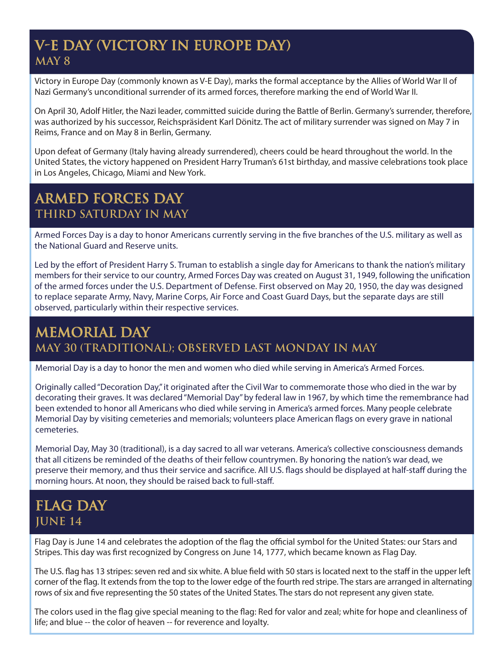#### **V-E DAY (VICTORY IN EUROPE DAY) MAY 8**

Victory in Europe Day (commonly known as V-E Day), marks the formal acceptance by the Allies of World War II of Nazi Germany's unconditional surrender of its armed forces, therefore marking the end of World War II.

On April 30, Adolf Hitler, the Nazi leader, committed suicide during the Battle of Berlin. Germany's surrender, therefore, was authorized by his successor, Reichspräsident Karl Dönitz. The act of military surrender was signed on May 7 in Reims, France and on May 8 in Berlin, Germany.

Upon defeat of Germany (Italy having already surrendered), cheers could be heard throughout the world. In the United States, the victory happened on President Harry Truman's 61st birthday, and massive celebrations took place in Los Angeles, Chicago, Miami and New York.

#### **ARMED FORCES DAY THIRD SATURDAY IN MAY**

Armed Forces Day is a day to honor Americans currently serving in the five branches of the U.S. military as well as the National Guard and Reserve units.

Led by the effort of President Harry S. Truman to establish a single day for Americans to thank the nation's military members for their service to our country, Armed Forces Day was created on August 31, 1949, following the unification of the armed forces under the U.S. Department of Defense. First observed on May 20, 1950, the day was designed to replace separate Army, Navy, Marine Corps, Air Force and Coast Guard Days, but the separate days are still observed, particularly within their respective services.

## **MEMORIAL DAY MAY 30 (TRADITIONAL); OBSERVED LAST MONDAY IN MAY**

Memorial Day is a day to honor the men and women who died while serving in America's Armed Forces.

Originally called "Decoration Day," it originated after the Civil War to commemorate those who died in the war by decorating their graves. It was declared "Memorial Day" by federal law in 1967, by which time the remembrance had been extended to honor all Americans who died while serving in America's armed forces. Many people celebrate Memorial Day by visiting cemeteries and memorials; volunteers place American flags on every grave in national cemeteries.

Memorial Day, May 30 (traditional), is a day sacred to all war veterans. America's collective consciousness demands that all citizens be reminded of the deaths of their fellow countrymen. By honoring the nation's war dead, we preserve their memory, and thus their service and sacrifice. All U.S. flags should be displayed at half-staff during the morning hours. At noon, they should be raised back to full-staff.

#### **FLAG DAY JUNE 14**

Flag Day is June 14 and celebrates the adoption of the flag the official symbol for the United States: our Stars and Stripes. This day was first recognized by Congress on June 14, 1777, which became known as Flag Day.

The U.S. flag has 13 stripes: seven red and six white. A blue field with 50 stars is located next to the staff in the upper left corner of the flag. It extends from the top to the lower edge of the fourth red stripe. The stars are arranged in alternating rows of six and five representing the 50 states of the United States. The stars do not represent any given state.

The colors used in the flag give special meaning to the flag: Red for valor and zeal; white for hope and cleanliness of life; and blue -- the color of heaven -- for reverence and loyalty.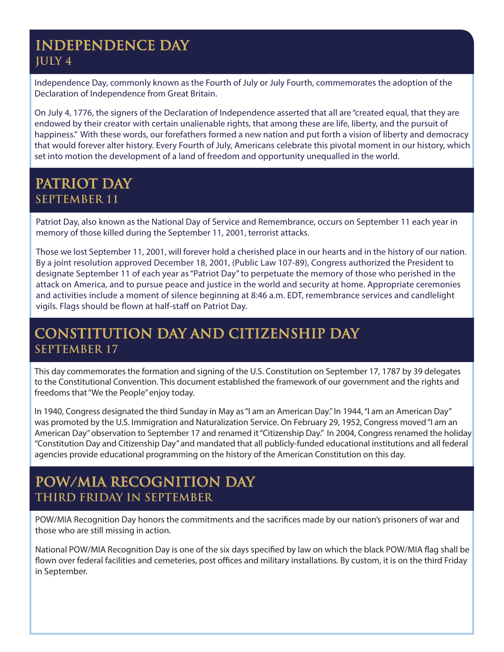#### **INDEPENDENCE DAY JULY 4**

Independence Day, commonly known as the Fourth of July or July Fourth, commemorates the adoption of the Declaration of Independence from Great Britain.

On July 4, 1776, the signers of the Declaration of Independence asserted that all are "created equal, that they are endowed by their creator with certain unalienable rights, that among these are life, liberty, and the pursuit of happiness." With these words, our forefathers formed a new nation and put forth a vision of liberty and democracy that would forever alter history. Every Fourth of July, Americans celebrate this pivotal moment in our history, which set into motion the development of a land of freedom and opportunity unequalled in the world.

#### **PATRIOT DAY SEPTEMBER 11**

Patriot Day, also known as the National Day of Service and Remembrance, occurs on September 11 each year in memory of those killed during the September 11, 2001, terrorist attacks.

Those we lost September 11, 2001, will forever hold a cherished place in our hearts and in the history of our nation. By a joint resolution approved December 18, 2001, (Public Law 107-89), Congress authorized the President to designate September 11 of each year as "Patriot Day" to perpetuate the memory of those who perished in the attack on America, and to pursue peace and justice in the world and security at home. Appropriate ceremonies and activities include a moment of silence beginning at 8:46 a.m. EDT, remembrance services and candlelight vigils. Flags should be flown at half-staff on Patriot Day.

#### **CONSTITUTION DAY AND CITIZENSHIP DAY SEPTEMBER 17**

This day commemorates the formation and signing of the U.S. Constitution on September 17, 1787 by 39 delegates to the Constitutional Convention. This document established the framework of our government and the rights and freedoms that "We the People" enjoy today.

In 1940, Congress designated the third Sunday in May as "I am an American Day." In 1944, "I am an American Day" was promoted by the U.S. Immigration and Naturalization Service. On February 29, 1952, Congress moved "I am an American Day" observation to September 17 and renamed it "Citizenship Day." In 2004, Congress renamed the holiday "Constitution Day and Citizenship Day" and mandated that all publicly-funded educational institutions and all federal agencies provide educational programming on the history of the American Constitution on this day.

#### **POW/MIA RECOGNITION DAY THIRD FRIDAY IN SEPTEMBER**

POW/MIA Recognition Day honors the commitments and the sacrifices made by our nation's prisoners of war and those who are still missing in action.

National POW/MIA Recognition Day is one of the six days specified by law on which the black POW/MIA flag shall be flown over federal facilities and cemeteries, post offices and military installations. By custom, it is on the third Friday in September.